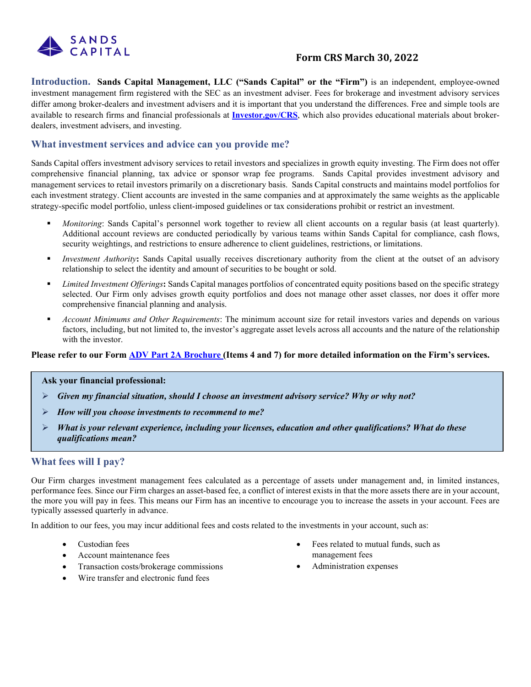

# **Form CRS March 30, 2022**

**Introduction. Sands Capital Management, LLC ("Sands Capital" or the "Firm")** is an independent, employee-owned investment management firm registered with the SEC as an investment adviser. Fees for brokerage and investment advisory services differ among broker-dealers and investment advisers and it is important that you understand the differences. Free and simple tools are available to research firms and financial professionals at **[Investor.gov/CRS](https://www.investor.gov/CRS)**, which also provides educational materials about brokerdealers, investment advisers, and investing.

## **What investment services and advice can you provide me?**

Sands Capital offers investment advisory services to retail investors and specializes in growth equity investing. The Firm does not offer comprehensive financial planning, tax advice or sponsor wrap fee programs. Sands Capital provides investment advisory and management services to retail investors primarily on a discretionary basis. Sands Capital constructs and maintains model portfolios for each investment strategy. Client accounts are invested in the same companies and at approximately the same weights as the applicable strategy-specific model portfolio, unless client-imposed guidelines or tax considerations prohibit or restrict an investment.

- *Monitoring*: Sands Capital's personnel work together to review all client accounts on a regular basis (at least quarterly). Additional account reviews are conducted periodically by various teams within Sands Capital for compliance, cash flows, security weightings, and restrictions to ensure adherence to client guidelines, restrictions, or limitations.
- *Investment Authority*: Sands Capital usually receives discretionary authority from the client at the outset of an advisory relationship to select the identity and amount of securities to be bought or sold.
- *Limited Investment Offerings***:** Sands Capital manages portfolios of concentrated equity positions based on the specific strategy selected. Our Firm only advises growth equity portfolios and does not manage other asset classes, nor does it offer more comprehensive financial planning and analysis.
- *Account Minimums and Other Requirements*: The minimum account size for retail investors varies and depends on various factors, including, but not limited to, the investor's aggregate asset levels across all accounts and the nature of the relationship with the investor.

#### **Please refer to our Form [ADV Part 2A Brochure](https://files.adviserinfo.sec.gov/IAPD/Content/Common/crd_iapd_Brochure.aspx?BRCHR_VRSN_ID=770707) (Items 4 and 7) for more detailed information on the Firm's services.**

#### **Ask your financial professional:**

- *Given my financial situation, should I choose an investment advisory service? Why or why not?*
- *How will you choose investments to recommend to me?*
- *What is your relevant experience, including your licenses, education and other qualifications? What do these qualifications mean?*

# **What fees will I pay?**

Our Firm charges investment management fees calculated as a percentage of assets under management and, in limited instances, performance fees. Since our Firm charges an asset-based fee, a conflict of interest exists in that the more assets there are in your account, the more you will pay in fees. This means our Firm has an incentive to encourage you to increase the assets in your account. Fees are typically assessed quarterly in advance.

In addition to our fees, you may incur additional fees and costs related to the investments in your account, such as:

- Custodian fees
- Account maintenance fees
- Transaction costs/brokerage commissions
- Wire transfer and electronic fund fees
- Fees related to mutual funds, such as management fees
- Administration expenses